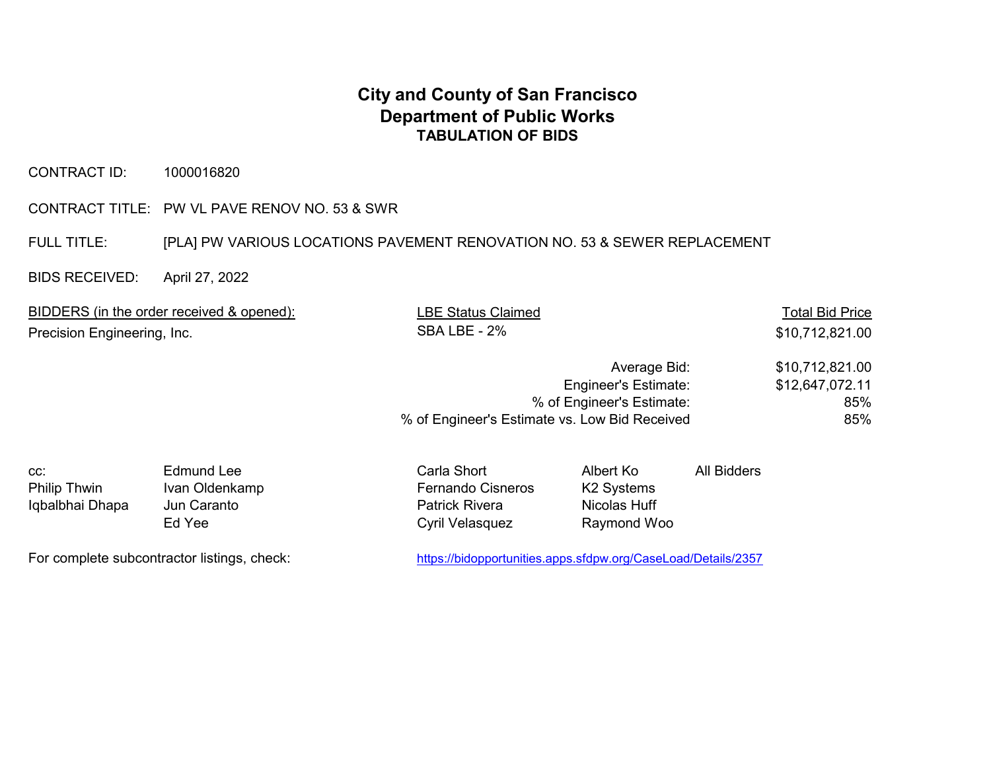## **City and County of San Francisco Department of Public Works TABULATION OF BIDS**

CONTRACT ID: 1000016820

CONTRACT TITLE: PW VL PAVE RENOV NO. 53 & SWR

FULL TITLE: [PLA] PW VARIOUS LOCATIONS PAVEMENT RENOVATION NO. 53 & SEWER REPLACEMENT

BIDS RECEIVED: April 27, 2022

| BIDDERS (in the order received & opened): | <b>LBE Status Claimed</b> | <b>Total Bid Price</b> |
|-------------------------------------------|---------------------------|------------------------|
| Precision Engineering, Inc.               | SBA LBE - 2%              | \$10,712,821.00        |
|                                           |                           |                        |

| \$10,712,821.00 | Average Bid:                                  |
|-----------------|-----------------------------------------------|
| \$12,647,072.11 | Engineer's Estimate:                          |
| 85%             | % of Engineer's Estimate:                     |
| 85%             | % of Engineer's Estimate vs. Low Bid Received |

| CC:             | Edmund Lee     | Carla Short              | Albert Ko    | All Bidders |
|-----------------|----------------|--------------------------|--------------|-------------|
| Philip Thwin    | Ivan Oldenkamp | <b>Fernando Cisneros</b> | K2 Systems   |             |
| Iqbalbhai Dhapa | Jun Caranto    | <b>Patrick Rivera</b>    | Nicolas Huff |             |
|                 | Ed Yee         | <b>Cyril Velasquez</b>   | Raymond Woo  |             |

For complete subcontractor listings, check: https://bidopportunities.apps.sfdpw.org/CaseLoad/Details/2357